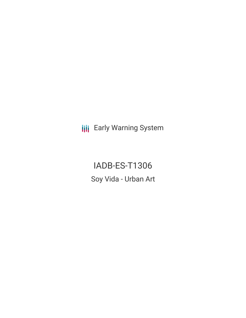**III** Early Warning System

IADB-ES-T1306 Soy Vida - Urban Art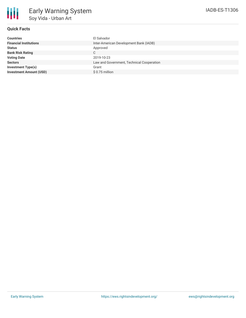

# **Quick Facts**

| El Salvador                               |
|-------------------------------------------|
| Inter-American Development Bank (IADB)    |
| Approved                                  |
| C                                         |
| 2019-10-23                                |
| Law and Government, Technical Cooperation |
| Grant                                     |
| \$ 0.75 million                           |
|                                           |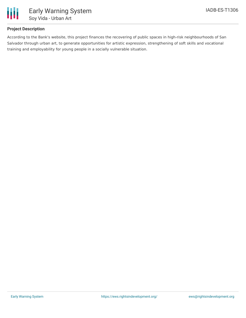

## **Project Description**

According to the Bank's website, this project finances the recovering of public spaces in high-risk neighbourhoods of San Salvador through urban art, to generate opportunities for artistic expression, strengthening of soft skills and vocational training and employability for young people in a socially vulnerable situation.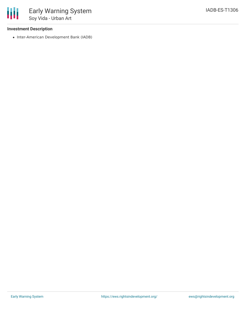### **Investment Description**

• Inter-American Development Bank (IADB)